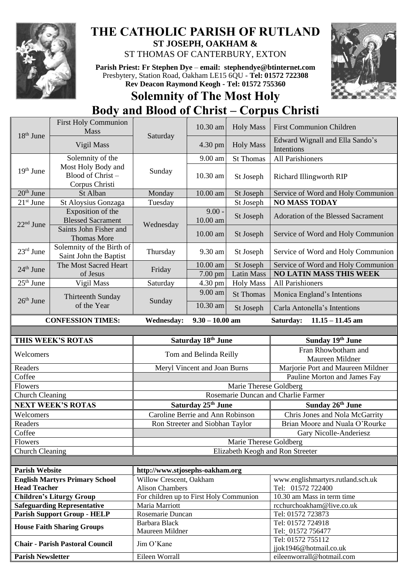

## **THE CATHOLIC PARISH OF RUTLAND ST JOSEPH, OAKHAM &**  ST THOMAS OF CANTERBURY, EXTON

**Parish Priest: Fr Stephen Dye** – **[email: stephendye@btinternet.com](mailto:email:%20%20stephendye@btinternet.com)** Presbytery, Station Road, Oakham LE15 6QU - **Tel: 01572 722308 Rev Deacon Raymond Keogh - Tel: 01572 755360**



## **Solemnity of The Most Holy Body and Blood of Christ – Corpus Christi**

|                        | <b>First Holy Communion</b><br><b>Mass</b>               |                                                   | 10.30 am                         | <b>Holy Mass</b>       | <b>First Communion Children</b>                                          |  |  |
|------------------------|----------------------------------------------------------|---------------------------------------------------|----------------------------------|------------------------|--------------------------------------------------------------------------|--|--|
| 18 <sup>th</sup> June  | Vigil Mass                                               | Saturday                                          | 4.30 pm                          | <b>Holy Mass</b>       | Edward Wignall and Ella Sando's<br>Intentions                            |  |  |
|                        | Solemnity of the                                         |                                                   | 9.00 am                          | St Thomas              | All Parishioners                                                         |  |  |
| 19 <sup>th</sup> June  | Most Holy Body and<br>Blood of Christ-<br>Corpus Christi | Sunday                                            | 10.30 am                         | St Joseph              | <b>Richard Illingworth RIP</b>                                           |  |  |
| $20th$ June            | St Alban                                                 | Monday                                            | 10.00 am                         | St Joseph              | Service of Word and Holy Communion                                       |  |  |
| $21st$ June            | St Aloysius Gonzaga                                      | Tuesday                                           |                                  | St Joseph              | <b>NO MASS TODAY</b>                                                     |  |  |
| $22nd$ June            | Exposition of the<br><b>Blessed Sacrament</b>            | Wednesday                                         | $9.00 -$<br>10.00 am             | St Joseph              | Adoration of the Blessed Sacrament                                       |  |  |
|                        | Saints John Fisher and<br><b>Thomas More</b>             |                                                   | 10.00 am                         | St Joseph              | Service of Word and Holy Communion                                       |  |  |
| 23rd June              | Solemnity of the Birth of<br>Saint John the Baptist      | Thursday                                          | 9.30 am                          | St Joseph              | Service of Word and Holy Communion                                       |  |  |
| $24th$ June            | The Most Sacred Heart                                    | Friday                                            | 10.00 am                         | St Joseph              | Service of Word and Holy Communion                                       |  |  |
|                        | of Jesus                                                 |                                                   | 7.00 pm                          | <b>Latin Mass</b>      | <b>NO LATIN MASS THIS WEEK</b>                                           |  |  |
| $25th$ June            | Vigil Mass                                               | Saturday                                          | 4.30 pm                          | <b>Holy Mass</b>       | All Parishioners                                                         |  |  |
| $26th$ June            | Thirteenth Sunday<br>of the Year                         | Sunday                                            | 9.00 am<br>10.30 am              | <b>St Thomas</b>       | Monica England's Intentions                                              |  |  |
|                        |                                                          |                                                   |                                  | St Joseph              | Carla Antonella's Intentions                                             |  |  |
|                        | <b>CONFESSION TIMES:</b>                                 | <b>Wednesday:</b>                                 | $9.30 - 10.00$ am                |                        | Saturday:<br>$11.15 - 11.45$ am                                          |  |  |
|                        |                                                          |                                                   |                                  |                        |                                                                          |  |  |
| THIS WEEK'S ROTAS      |                                                          | Saturday 18th June                                |                                  |                        | Sunday 19th June                                                         |  |  |
| Welcomers              |                                                          | Tom and Belinda Reilly                            |                                  |                        | Fran Rhowbotham and<br>Maureen Mildner                                   |  |  |
| Readers                |                                                          | Meryl Vincent and Joan Burns                      |                                  |                        | Marjorie Port and Maureen Mildner                                        |  |  |
| Coffee                 |                                                          |                                                   |                                  |                        | Pauline Morton and James Fay                                             |  |  |
|                        | Flowers                                                  |                                                   | Marie Therese Goldberg           |                        |                                                                          |  |  |
| <b>Church Cleaning</b> |                                                          |                                                   |                                  |                        |                                                                          |  |  |
|                        |                                                          |                                                   |                                  |                        | Rosemarie Duncan and Charlie Farmer                                      |  |  |
|                        | <b>NEXT WEEK'S ROTAS</b>                                 |                                                   | Saturday 25th June               |                        | Sunday 26th June                                                         |  |  |
| Welcomers              |                                                          |                                                   | Caroline Berrie and Ann Robinson |                        | Chris Jones and Nola McGarrity                                           |  |  |
| Readers                |                                                          |                                                   | Ron Streeter and Siobhan Taylor  |                        | Brian Moore and Nuala O'Rourke                                           |  |  |
| Coffee                 |                                                          |                                                   |                                  |                        | Gary Nicolle-Anderiesz                                                   |  |  |
| Flowers                |                                                          |                                                   |                                  | Marie Therese Goldberg |                                                                          |  |  |
| <b>Church Cleaning</b> |                                                          |                                                   |                                  |                        | Elizabeth Keogh and Ron Streeter                                         |  |  |
|                        |                                                          |                                                   |                                  |                        |                                                                          |  |  |
| <b>Parish Website</b>  |                                                          | http://www.stjosephs-oakham.org                   |                                  |                        |                                                                          |  |  |
| <b>Head Teacher</b>    | <b>English Martyrs Primary School</b>                    | Willow Crescent, Oakham<br><b>Alison Chambers</b> |                                  |                        | www.englishmartyrs.rutland.sch.uk<br>Tel: 01572 722400                   |  |  |
|                        | <b>Children's Liturgy Group</b>                          | For children up to First Holy Communion           |                                  |                        | 10.30 am Mass in term time                                               |  |  |
|                        | <b>Safeguarding Representative</b>                       | Maria Marriott                                    |                                  |                        | rcchurchoakham@live.co.uk                                                |  |  |
|                        | <b>Parish Support Group - HELP</b>                       | Rosemarie Duncan                                  |                                  |                        | Tel: 01572 723873                                                        |  |  |
|                        | <b>House Faith Sharing Groups</b>                        | Barbara Black                                     |                                  |                        | Tel: 01572 724918                                                        |  |  |
|                        |                                                          | Maureen Mildner                                   |                                  |                        | Tel: 01572 756477                                                        |  |  |
|                        | <b>Chair - Parish Pastoral Council</b>                   | Jim O'Kane<br>Eileen Worrall                      |                                  |                        | Tel: 01572 755112<br>jjok1946@hotmail.co.uk<br>eileenworrall@hotmail.com |  |  |